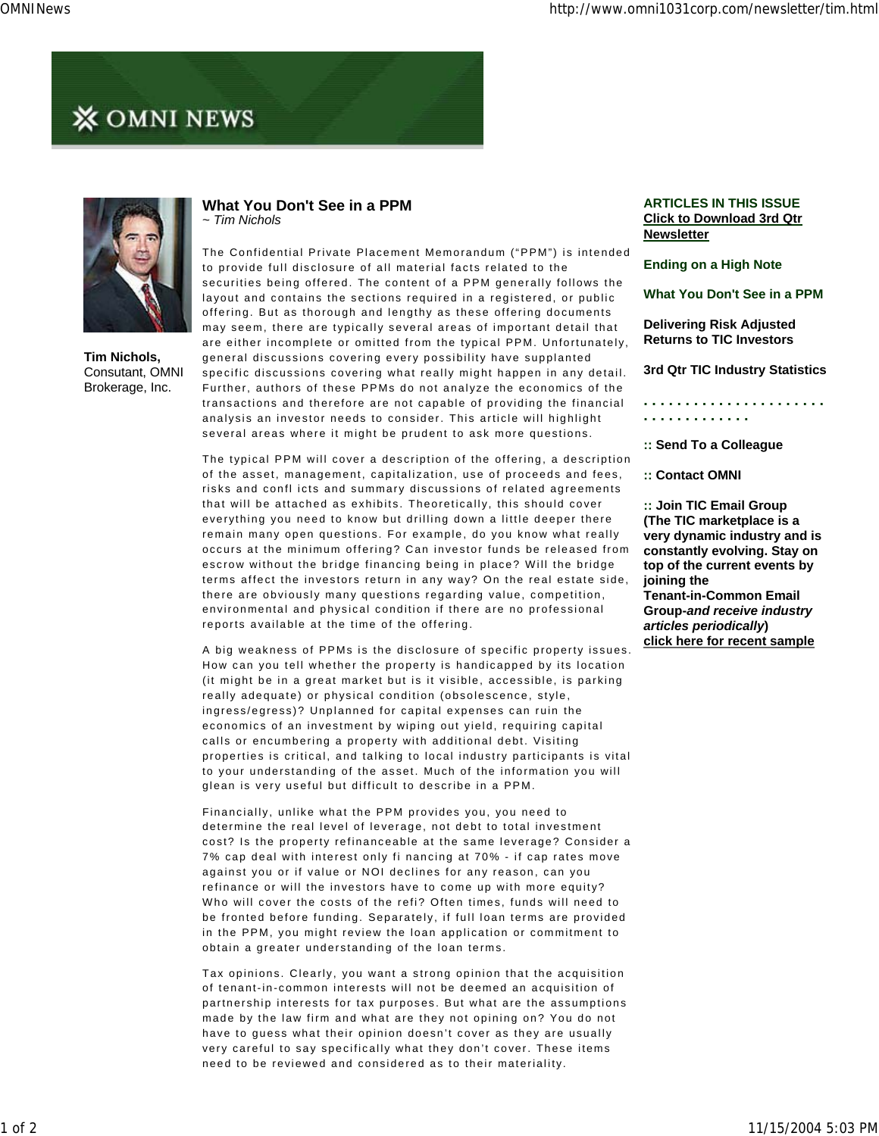## ※ OMNI NEWS



**Tim Nichols,** Consutant, OMNI Brokerage, Inc.

## **What You Don't See in a PPM** ~ *Tim Nichols*

The Confidential Private Placement Memorandum ("PPM") is intended to provide full disclosure of all material facts related to the securities being offered. The content of a PPM generally follows the layout and contains the sections required in a registered, or public offering. But as thorough and lengthy as these offering documents may seem, there are typically several areas of important detail that are either incomplete or omitted from the typical PPM. Unfortunately, general discussions covering every possibility have supplanted specific discussions covering what really might happen in any detail. Further, authors of these PPMs do not analyze the economics of the transactions and therefore are not capable of providing the financial analysis an investor needs to consider. This article will highlight several areas where it might be prudent to ask more questions.

The typical PPM will cover a description of the offering, a description of the asset, management, capitalization, use of proceeds and fees, risks and confl icts and summary discussions of related agreements that will be attached as exhibits. Theoretically, this should cover everything you need to know but drilling down a little deeper there remain many open questions. For example, do you know what really occurs at the minimum offering? Can investor funds be released from escrow without the bridge financing being in place? Will the bridge terms affect the investors return in any way? On the real estate side, there are obviously many questions regarding value, competition, environmental and physical condition if there are no professional reports available at the time of the offering.

A big weakness of PPMs is the disclosure of specific property issues. How can you tell whether the property is handicapped by its location (it might be in a great market but is it visible, accessible, is parking really adequate) or physical condition (obsolescence, style, ingress/egress)? Unplanned for capital expenses can ruin the economics of an investment by wiping out yield, requiring capital calls or encumbering a property with additional debt. Visiting properties is critical, and talking to local industry participants is vital to your understanding of the asset. Much of the information you will glean is very useful but difficult to describe in a PPM.

Financially, unlike what the PPM provides you, you need to determine the real level of leverage, not debt to total investment cost? Is the property refinanceable at the same leverage? Consider a 7% cap deal with interest only fi nancing at 70% - if cap rates move against you or if value or NOI declines for any reason, can you refinance or will the investors have to come up with more equity? Who will cover the costs of the refi? Often times, funds will need to be fronted before funding. Separately, if full loan terms are provided in the PPM, you might review the loan application or commitment to obtain a greater understanding of the loan terms.

Tax opinions. Clearly, you want a strong opinion that the acquisition of tenant-in-common interests will not be deemed an acquisition of partnership interests for tax purposes. But what are the assumptions made by the law firm and what are they not opining on? You do not have to guess what their opinion doesn't cover as they are usually very careful to say specifically what they don't cover. These items need to be reviewed and considered as to their materiality.

## **ARTICLES IN THIS ISSUE Click to Download 3rd Qtr Newsletter**

## **Ending on a High Note**

**What You Don't See in a PPM**

**Delivering Risk Adjusted Returns to TIC Investors**

**3rd Qtr TIC Industry Statistics**

**. . . . . . . . . . . . . . . . . . . . . .**

**:: Send To a Colleague**

**:: Contact OMNI**

**. . . . . . . . . . . . .**

**:: Join TIC Email Group (The TIC marketplace is a very dynamic industry and is constantly evolving. Stay on top of the current events by joining the Tenant-in-Common Email Group-***and receive industry articles periodically***) click here for recent sample**